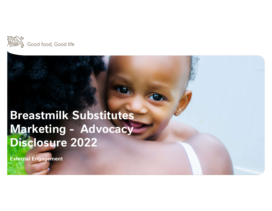

### Breastmilk Substitutes Marketing - Advocacy Disclosure 2022

External Engagement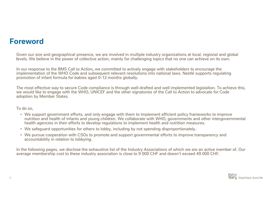#### Foreword

Given our size and geographical presence, we are involved in multiple industry organizations at local, regional and global levels. We believe in the power of collective action, mainly for challenging topics that no one can achieve on its own.

**DICWOTO**<br>Given our size and geographical presence, we are involved in multiple industry organizations at local, regional and globa<br>levels. We believe in the power of collective action, mainly for challenging topics that n implementation of the WHO Code and subsequent relevant resolutions into national laws. Nestlé supports regulating promotion of infant formula for babies aged 0-12 months globally.

The most effective way to secure Code compliance is through well-drafted and well implemented legislation. To achieve this, we would like to engage with the WHO, UNICEF and the other signatories of the Call to Action to advocate for Code adoption by Member States.

To do so,

- We support government efforts, and only engage with them to implement efficient policy frameworks to improve nutrition and health of infants and young children. We collaborate with WHO, governments and other intergovernmental health agencies in their efforts to develop regulations to implement health and nutrition measures. Are support government efforts, and only engage with them to implement efficient policy frameworks to improve<br>nutrition and health of infants and young children. We collaborate with WHO, governments and other intergoverni<br>
	- We safeguard opportunities for others to lobby, including by not spending disproportionately.
	- We pursue cooperation with CSOs to promote and support governmental efforts to improve transparency and accountability in relation to lobbying.

In the following pages, we disclose the exhaustive list of the Industry Associations of which we are an active member of. Our average membership cost to these industry association is close to 9 000 CHF and doesn't exceed 4

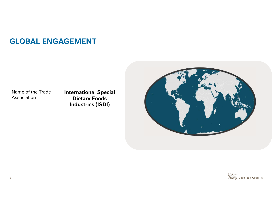### GLOBAL ENGAGEMENT

Name of the Trade Association

International Special Dietary Foods Industries (ISDI)



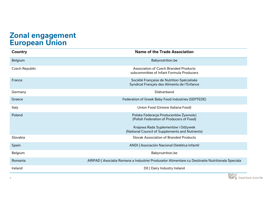# Zonal engagement **Zonal engagement<br>European Union<br>Country**

| <b>European Union</b> |                                                                                                  |
|-----------------------|--------------------------------------------------------------------------------------------------|
| <b>Country</b>        | <b>Name of the Trade Association</b>                                                             |
| Belgium               | Babynutrition.be                                                                                 |
| Czech Republic        | <b>Association of Czech Branded Products</b><br>subcommittee of Infant Formula Producers         |
| France                | Société Française de Nutrition Spécialisée<br>Syndicat Français des Aliments de l'Enfance        |
| Germany               | Diätverband                                                                                      |
| Greece                | Federation of Greek Baby Food Industries (SEPTEDE)                                               |
| Italy                 | Union Food (Unione Italiana Food)                                                                |
| Poland                | Polska Federacja Producentów Żywności<br>(Polish Federation of Producers of Food)                |
|                       | Krajowa Rada Suplementów i Odżywek<br>(National Council of Supplements and Nutrients)            |
| Slovakia              | <b>Slovak Association of Branded Products</b>                                                    |
| Spain                 | ANDI   Asociación Nacional Dietética Infantil                                                    |
| Belgium               | Babynutrition.be                                                                                 |
| Romania               | ARIPAD   Asociatia Romana a Industriei Produselor Alimentare cu Destinatie Nutritionala Speciala |
| Ireland               | DII   Dairy Industry Ireland                                                                     |

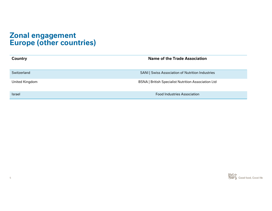# Zonal engagement **Zonal engagement<br>Europe (other countries)**

| <b>Zonal engagement<br/>Europe (other countries)</b> |                                                            |  |
|------------------------------------------------------|------------------------------------------------------------|--|
| <b>Country</b>                                       | <b>Name of the Trade Association</b>                       |  |
| Switzerland                                          | <b>SANI   Swiss Association of Nutrition Industries</b>    |  |
| United Kingdom                                       | <b>BSNA   British Specialist Nutrition Association Ltd</b> |  |
|                                                      | <b>Food Industries Association</b>                         |  |

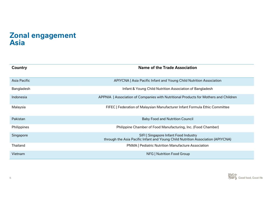#### Zonal engagement Asia

| <b>Zonal engagement</b><br><b>Asia</b> |                                                                                                                          |  |
|----------------------------------------|--------------------------------------------------------------------------------------------------------------------------|--|
| <b>Country</b>                         | <b>Name of the Trade Association</b>                                                                                     |  |
| <b>Asia Pacific</b>                    | APIYCNA   Asia Pacific Infant and Young Child Nutrition Association                                                      |  |
| Bangladesh                             | Infant & Young Child Nutrition Association of Bangladesh                                                                 |  |
| Indonesia                              | APPNIA   Association of Companies with Nutritional Products for Mothers and Children                                     |  |
| Malaysia                               | FIFEC   Federation of Malaysian Manufacturer Infant Formula Ethic Committee                                              |  |
| Pakistan                               | <b>Baby Food and Nutrition Council</b>                                                                                   |  |
| Philippines                            | Philippine Chamber of Food Manufacturing, Inc. (Food Chamber)                                                            |  |
| Singapore                              | SIFI   Singapore Infant Food Industry<br>through the Asia Pacific Infant and Young Child Nutrition Association (APIYCNA) |  |
| Thailand                               | <b>PNMA   Pediatric Nutrition Manufacture Association</b>                                                                |  |
| Vietnam                                | NFG   Nutrition Food Group                                                                                               |  |

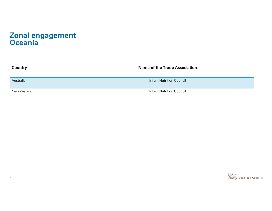#### Zonal engagement **Oceania**

| Zonal engagement<br>Oceania |                                      |
|-----------------------------|--------------------------------------|
| <b>Country</b>              | <b>Name of the Trade Association</b> |
| Australia                   | <b>Infant Nutrition Council</b>      |
| New Zealand                 | <b>Infant Nutrition Council</b>      |
|                             |                                      |

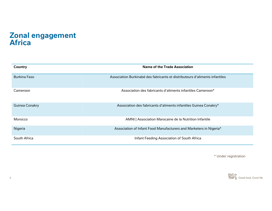#### Zonal engagement Africa

| Zonal engagement<br><b>Africa</b>                                           |  |  |
|-----------------------------------------------------------------------------|--|--|
| <b>Name of the Trade Association</b>                                        |  |  |
| Association Burkinabé des fabricants et distributeurs d'aliments infantiles |  |  |
| Association des fabricants d'aliments infantiles Cameroon*                  |  |  |
| Association des fabricants d'aliments infantiles Guinea Conakry*            |  |  |
| AMNI   Association Marocaine de la Nutrition Infantile                      |  |  |
| Association of Infant Food Manufacturers and Marketers in Nigeria*          |  |  |
| Infant Feeding Association of South Africa                                  |  |  |
|                                                                             |  |  |

\* Under registration

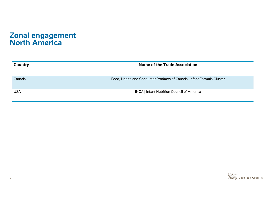#### Zonal engagement North America

| <b>Zonal engagement<br/>North America</b> |                                                                      |
|-------------------------------------------|----------------------------------------------------------------------|
| <b>Country</b>                            | <b>Name of the Trade Association</b>                                 |
| Canada                                    | Food, Health and Consumer Products of Canada, Infant Formula Cluster |
| <b>USA</b>                                | <b>INCA   Infant Nutrition Council of America</b>                    |
|                                           |                                                                      |

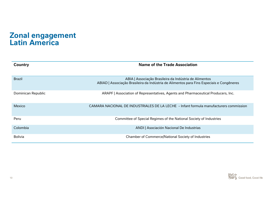#### Zonal engagement Latin America

| Zonal engagement<br>Latin America |                                                                                                                                                    |
|-----------------------------------|----------------------------------------------------------------------------------------------------------------------------------------------------|
| Country                           | <b>Name of the Trade Association</b>                                                                                                               |
| <b>Brazil</b>                     | ABIA   Associação Brasileira da Indústria de Alimentos<br>ABIAD   Associação Brasileira da Indústria de Alimentos para Fins Especiais e Congêneres |
| Dominican Republic                | ARAPF   Association of Representatives, Agents and Pharmaceutical Producers, Inc.                                                                  |
| Mexico                            | CAMARA NACIONAL DE INDUSTRIALES DE LA LECHE - Infant formula manufacturers commission                                                              |
| Peru                              | Committee of Special Regimes of the National Society of Industries                                                                                 |
| Colombia                          | ANDI   Asociación Nacional De Industrias                                                                                                           |
| <b>Bolivia</b>                    | <b>Chamber of Commerce/National Society of Industries</b>                                                                                          |

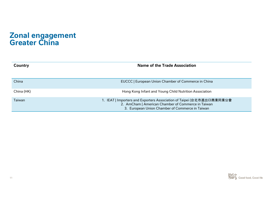# Zonal engagement **Zonal engagement<br>Greater China**

| Zonal engagement<br>Greater China |                                                                                                                                                                                |  |
|-----------------------------------|--------------------------------------------------------------------------------------------------------------------------------------------------------------------------------|--|
| <b>Country</b>                    | <b>Name of the Trade Association</b>                                                                                                                                           |  |
| China                             | EUCCC   European Union Chamber of Commerce in China                                                                                                                            |  |
| China (HK)                        | Hong Kong Infant and Young Child Nutrition Association                                                                                                                         |  |
| Taiwan                            | 1. IEAT   Importers and Exporters Association of Taipei (台北市進出口商業同業公會<br>2. AmCham   American Chamber of Commerce in Taiwan<br>3. European Union Chamber of Commerce in Taiwan |  |
|                                   |                                                                                                                                                                                |  |

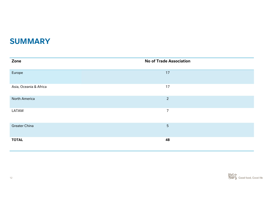### SUMMARY

| <b>SUMMARY</b>         |                                |
|------------------------|--------------------------------|
| Zone                   | <b>No of Trade Association</b> |
| Europe                 | $17$                           |
| Asia, Oceania & Africa | 17                             |
| <b>North America</b>   | $\overline{2}$                 |
| LATAM                  | $\overline{7}$                 |
| <b>Greater China</b>   | 5                              |
| <b>TOTAL</b>           | 48                             |